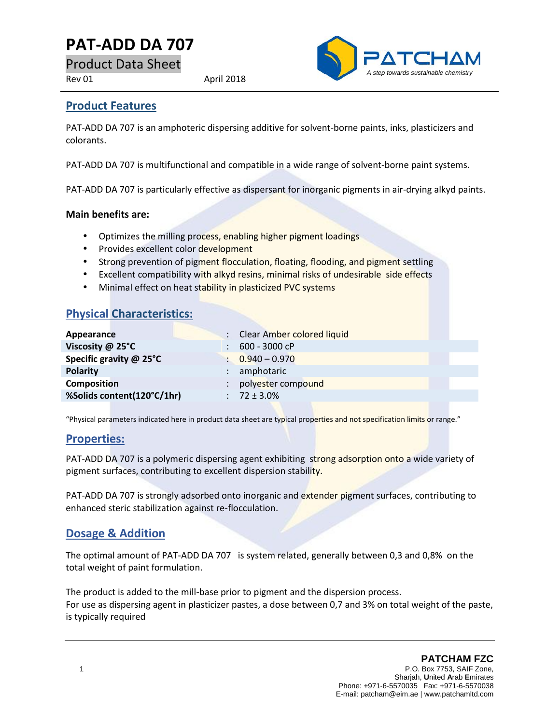# **PAT-ADD DA 707**

Product Data Sheet

Rev 01 April 2018



### **Product Features**

PAT-ADD DA 707 is an amphoteric dispersing additive for solvent-borne paints, inks, plasticizers and colorants.

PAT-ADD DA 707 is multifunctional and compatible in a wide range of solvent-borne paint systems.

PAT-ADD DA 707 is particularly effective as dispersant for inorganic pigments in air-drying alkyd paints.

#### **Main benefits are:**

- Optimizes the milling process, enabling higher pigment loadings
- Provides excellent color development
- Strong prevention of pigment flocculation, floating, flooding, and pigment settling
- Excellent compatibility with alkyd resins, minimal risks of undesirable side effects
- Minimal effect on heat stability in plasticized PVC systems

## **Physical Characteristics:**

| Appearance                 | : Clear Amber colored liquid |
|----------------------------|------------------------------|
| Viscosity @ 25°C           | 600 - 3000 cP                |
| Specific gravity @ 25°C    | $\therefore$ 0.940 - 0.970   |
| <b>Polarity</b>            | amphotaric                   |
| <b>Composition</b>         | polyester compound           |
| %Solids content(120°C/1hr) | $: 72 \pm 3.0\%$             |
|                            |                              |

"Physical parameters indicated here in product data sheet are typical properties and not specification limits or range."

### **Properties:**

PAT-ADD DA 707 is a polymeric dispersing agent exhibiting strong adsorption onto a wide variety of pigment surfaces, contributing to excellent dispersion stability.

PAT-ADD DA 707 is strongly adsorbed onto inorganic and extender pigment surfaces, contributing to enhanced steric stabilization against re-flocculation.

### **Dosage & Addition**

The optimal amount of PAT-ADD DA 707 is system related, generally between 0,3 and 0,8% on the total weight of paint formulation.

The product is added to the mill-base prior to pigment and the dispersion process. For use as dispersing agent in plasticizer pastes, a dose between 0,7 and 3% on total weight of the paste, is typically required